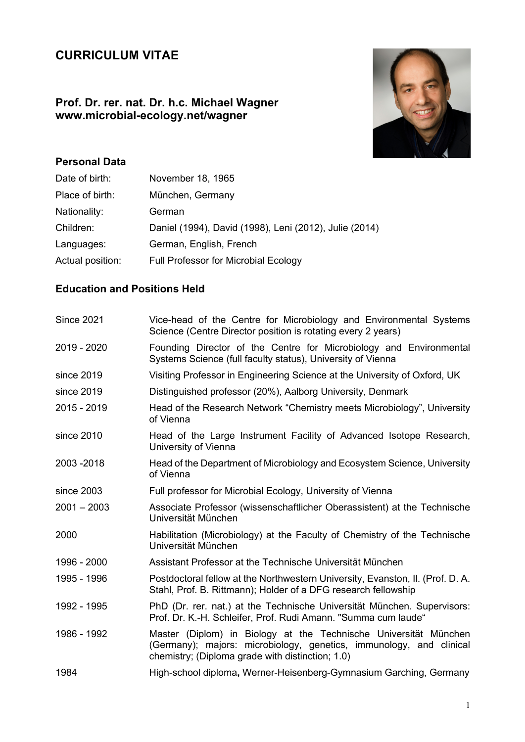# **CURRICULUM VITAE**

## **Prof. Dr. rer. nat. Dr. h.c. Michael Wagner www.microbial-ecology.net/wagner**



# **Personal Data**

| November 18, 1965                                      |
|--------------------------------------------------------|
| München, Germany                                       |
| German                                                 |
| Daniel (1994), David (1998), Leni (2012), Julie (2014) |
| German, English, French                                |
| <b>Full Professor for Microbial Ecology</b>            |
|                                                        |

## **Education and Positions Held**

| <b>Since 2021</b> | Vice-head of the Centre for Microbiology and Environmental Systems<br>Science (Centre Director position is rotating every 2 years)                                                          |
|-------------------|---------------------------------------------------------------------------------------------------------------------------------------------------------------------------------------------|
| 2019 - 2020       | Founding Director of the Centre for Microbiology and Environmental<br>Systems Science (full faculty status), University of Vienna                                                           |
| since 2019        | Visiting Professor in Engineering Science at the University of Oxford, UK                                                                                                                   |
| since 2019        | Distinguished professor (20%), Aalborg University, Denmark                                                                                                                                  |
| 2015 - 2019       | Head of the Research Network "Chemistry meets Microbiology", University<br>of Vienna                                                                                                        |
| since 2010        | Head of the Large Instrument Facility of Advanced Isotope Research,<br>University of Vienna                                                                                                 |
| 2003-2018         | Head of the Department of Microbiology and Ecosystem Science, University<br>of Vienna                                                                                                       |
| since 2003        | Full professor for Microbial Ecology, University of Vienna                                                                                                                                  |
| $2001 - 2003$     | Associate Professor (wissenschaftlicher Oberassistent) at the Technische<br>Universität München                                                                                             |
| 2000              | Habilitation (Microbiology) at the Faculty of Chemistry of the Technische<br>Universität München                                                                                            |
| 1996 - 2000       | Assistant Professor at the Technische Universität München                                                                                                                                   |
| 1995 - 1996       | Postdoctoral fellow at the Northwestern University, Evanston, II. (Prof. D. A.<br>Stahl, Prof. B. Rittmann); Holder of a DFG research fellowship                                            |
| 1992 - 1995       | PhD (Dr. rer. nat.) at the Technische Universität München. Supervisors:<br>Prof. Dr. K.-H. Schleifer, Prof. Rudi Amann. "Summa cum laude"                                                   |
| 1986 - 1992       | Master (Diplom) in Biology at the Technische Universität München<br>(Germany); majors: microbiology, genetics, immunology, and clinical<br>chemistry; (Diploma grade with distinction; 1.0) |
| 1984              | High-school diploma, Werner-Heisenberg-Gymnasium Garching, Germany                                                                                                                          |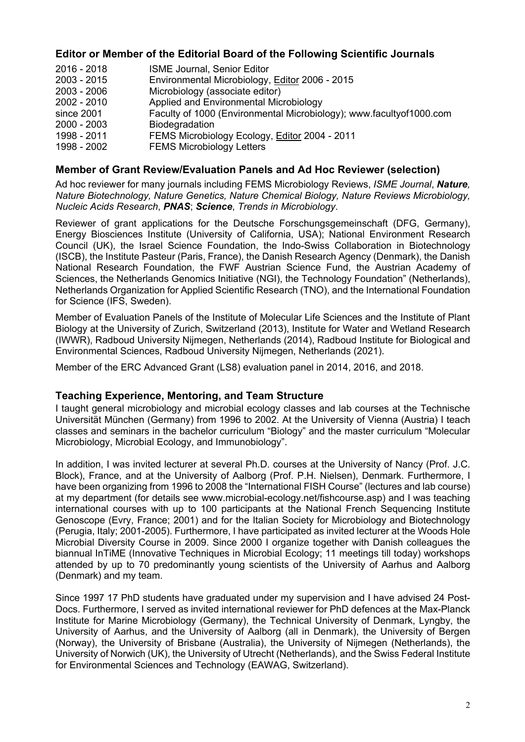### **Editor or Member of the Editorial Board of the Following Scientific Journals**

| $2016 - 2018$ | <b>ISME Journal, Senior Editor</b>                                  |
|---------------|---------------------------------------------------------------------|
| $2003 - 2015$ | Environmental Microbiology, Editor 2006 - 2015                      |
| $2003 - 2006$ | Microbiology (associate editor)                                     |
| $2002 - 2010$ | Applied and Environmental Microbiology                              |
| since 2001    | Faculty of 1000 (Environmental Microbiology); www.facultyof1000.com |
| $2000 - 2003$ | <b>Biodegradation</b>                                               |
| 1998 - 2011   | FEMS Microbiology Ecology, Editor 2004 - 2011                       |
| 1998 - 2002   | <b>FEMS Microbiology Letters</b>                                    |

## **Member of Grant Review/Evaluation Panels and Ad Hoc Reviewer (selection)**

Ad hoc reviewer for many journals including FEMS Microbiology Reviews, *ISME Journal*, *Nature, Nature Biotechnology, Nature Genetics, Nature Chemical Biology, Nature Reviews Microbiology, Nucleic Acids Research*, *PNAS*; *Science*, *Trends in Microbiology*.

Reviewer of grant applications for the Deutsche Forschungsgemeinschaft (DFG, Germany), Energy Biosciences Institute (University of California, USA); National Environment Research Council (UK), the Israel Science Foundation, the Indo-Swiss Collaboration in Biotechnology (ISCB), the Institute Pasteur (Paris, France), the Danish Research Agency (Denmark), the Danish National Research Foundation, the FWF Austrian Science Fund, the Austrian Academy of Sciences, the Netherlands Genomics Initiative (NGI), the Technology Foundation" (Netherlands), Netherlands Organization for Applied Scientific Research (TNO), and the International Foundation for Science (IFS, Sweden).

Member of Evaluation Panels of the Institute of Molecular Life Sciences and the Institute of Plant Biology at the University of Zurich, Switzerland (2013), Institute for Water and Wetland Research (IWWR), Radboud University Nijmegen, Netherlands (2014), Radboud Institute for Biological and Environmental Sciences, Radboud University Nijmegen, Netherlands (2021).

Member of the ERC Advanced Grant (LS8) evaluation panel in 2014, 2016, and 2018.

#### **Teaching Experience, Mentoring, and Team Structure**

I taught general microbiology and microbial ecology classes and lab courses at the Technische Universität München (Germany) from 1996 to 2002. At the University of Vienna (Austria) I teach classes and seminars in the bachelor curriculum "Biology" and the master curriculum "Molecular Microbiology, Microbial Ecology, and Immunobiology".

In addition, I was invited lecturer at several Ph.D. courses at the University of Nancy (Prof. J.C. Block), France, and at the University of Aalborg (Prof. P.H. Nielsen), Denmark. Furthermore, I have been organizing from 1996 to 2008 the "International FISH Course" (lectures and lab course) at my department (for details see www.microbial-ecology.net/fishcourse.asp) and I was teaching international courses with up to 100 participants at the National French Sequencing Institute Genoscope (Evry, France; 2001) and for the Italian Society for Microbiology and Biotechnology (Perugia, Italy; 2001-2005). Furthermore, I have participated as invited lecturer at the Woods Hole Microbial Diversity Course in 2009. Since 2000 I organize together with Danish colleagues the biannual InTiME (Innovative Techniques in Microbial Ecology; 11 meetings till today) workshops attended by up to 70 predominantly young scientists of the University of Aarhus and Aalborg (Denmark) and my team.

Since 1997 17 PhD students have graduated under my supervision and I have advised 24 Post-Docs. Furthermore, I served as invited international reviewer for PhD defences at the Max-Planck Institute for Marine Microbiology (Germany), the Technical University of Denmark, Lyngby, the University of Aarhus, and the University of Aalborg (all in Denmark), the University of Bergen (Norway), the University of Brisbane (Australia), the University of Nijmegen (Netherlands), the University of Norwich (UK), the University of Utrecht (Netherlands), and the Swiss Federal Institute for Environmental Sciences and Technology (EAWAG, Switzerland).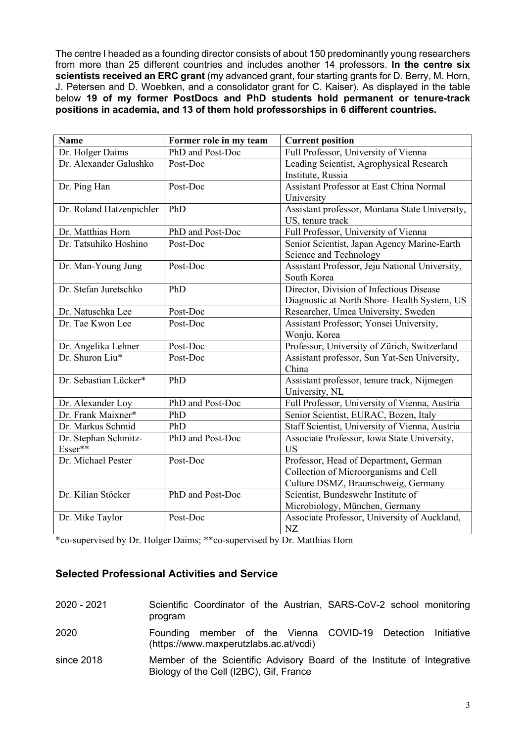The centre I headed as a founding director consists of about 150 predominantly young researchers from more than 25 different countries and includes another 14 professors. **In the centre six scientists received an ERC grant** (my advanced grant, four starting grants for D. Berry, M. Horn, J. Petersen and D. Woebken, and a consolidator grant for C. Kaiser). As displayed in the table below **19 of my former PostDocs and PhD students hold permanent or tenure-track positions in academia, and 13 of them hold professorships in 6 different countries.**

| <b>Name</b>              | Former role in my team | <b>Current position</b>                        |
|--------------------------|------------------------|------------------------------------------------|
| Dr. Holger Daims         | PhD and Post-Doc       | Full Professor, University of Vienna           |
| Dr. Alexander Galushko   | Post-Doc               | Leading Scientist, Agrophysical Research       |
|                          |                        | Institute, Russia                              |
| Dr. Ping Han             | Post-Doc               | Assistant Professor at East China Normal       |
|                          |                        | University                                     |
| Dr. Roland Hatzenpichler | PhD                    | Assistant professor, Montana State University, |
|                          |                        | US, tenure track                               |
| Dr. Matthias Horn        | PhD and Post-Doc       | Full Professor, University of Vienna           |
| Dr. Tatsuhiko Hoshino    | Post-Doc               | Senior Scientist, Japan Agency Marine-Earth    |
|                          |                        | Science and Technology                         |
| Dr. Man-Young Jung       | Post-Doc               | Assistant Professor, Jeju National University, |
|                          |                        | South Korea                                    |
| Dr. Stefan Juretschko    | PhD                    | Director, Division of Infectious Disease       |
|                          |                        | Diagnostic at North Shore- Health System, US   |
| Dr. Natuschka Lee        | Post-Doc               | Researcher, Umea University, Sweden            |
| Dr. Tae Kwon Lee         | Post-Doc               | Assistant Professor; Yonsei University,        |
|                          |                        | Wonju, Korea                                   |
| Dr. Angelika Lehner      | Post-Doc               | Professor, University of Zürich, Switzerland   |
| Dr. Shuron Liu*          | Post-Doc               | Assistant professor, Sun Yat-Sen University,   |
|                          |                        | China                                          |
| Dr. Sebastian Lücker*    | PhD                    | Assistant professor, tenure track, Nijmegen    |
|                          |                        | University, NL                                 |
| Dr. Alexander Loy        | PhD and Post-Doc       | Full Professor, University of Vienna, Austria  |
| Dr. Frank Maixner*       | PhD                    | Senior Scientist, EURAC, Bozen, Italy          |
| Dr. Markus Schmid        | PhD                    | Staff Scientist, University of Vienna, Austria |
| Dr. Stephan Schmitz-     | PhD and Post-Doc       | Associate Professor, Iowa State University,    |
| Esser**                  |                        | <b>US</b>                                      |
| Dr. Michael Pester       | Post-Doc               | Professor, Head of Department, German          |
|                          |                        | Collection of Microorganisms and Cell          |
|                          |                        | Culture DSMZ, Braunschweig, Germany            |
| Dr. Kilian Stöcker       | PhD and Post-Doc       | Scientist, Bundeswehr Institute of             |
|                          |                        | Microbiology, München, Germany                 |
| Dr. Mike Taylor          | Post-Doc               | Associate Professor, University of Auckland,   |
|                          |                        | NZ                                             |

\*co-supervised by Dr. Holger Daims; \*\*co-supervised by Dr. Matthias Horn

## **Selected Professional Activities and Service**

| 2020 - 2021 | Scientific Coordinator of the Austrian, SARS-CoV-2 school monitoring<br>program                                    |
|-------------|--------------------------------------------------------------------------------------------------------------------|
| 2020        | Founding member of the Vienna COVID-19 Detection Initiative<br>(https://www.maxperutzlabs.ac.at/vcdi)              |
| since 2018  | Member of the Scientific Advisory Board of the Institute of Integrative<br>Biology of the Cell (I2BC), Gif, France |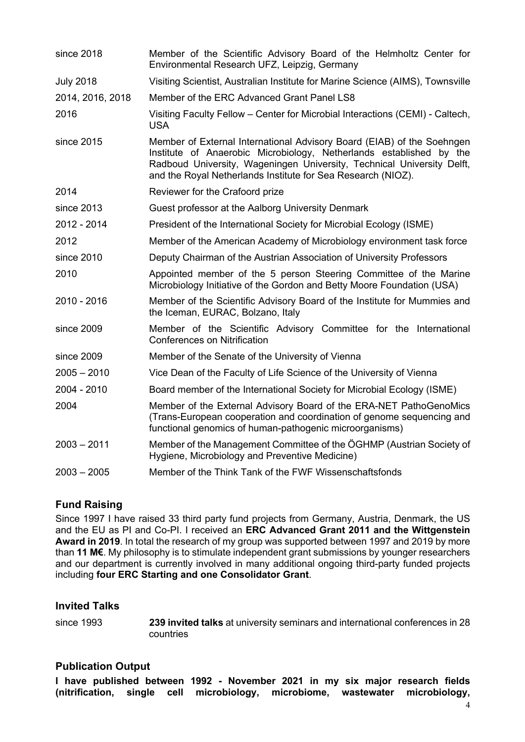| since 2018       | Member of the Scientific Advisory Board of the Helmholtz Center for<br>Environmental Research UFZ, Leipzig, Germany                                                                                                                                                                     |
|------------------|-----------------------------------------------------------------------------------------------------------------------------------------------------------------------------------------------------------------------------------------------------------------------------------------|
| <b>July 2018</b> | Visiting Scientist, Australian Institute for Marine Science (AIMS), Townsville                                                                                                                                                                                                          |
| 2014, 2016, 2018 | Member of the ERC Advanced Grant Panel LS8                                                                                                                                                                                                                                              |
| 2016             | Visiting Faculty Fellow - Center for Microbial Interactions (CEMI) - Caltech,<br><b>USA</b>                                                                                                                                                                                             |
| since 2015       | Member of External International Advisory Board (EIAB) of the Soehngen<br>Institute of Anaerobic Microbiology, Netherlands established by the<br>Radboud University, Wageningen University, Technical University Delft,<br>and the Royal Netherlands Institute for Sea Research (NIOZ). |
| 2014             | Reviewer for the Crafoord prize                                                                                                                                                                                                                                                         |
| since 2013       | Guest professor at the Aalborg University Denmark                                                                                                                                                                                                                                       |
| 2012 - 2014      | President of the International Society for Microbial Ecology (ISME)                                                                                                                                                                                                                     |
| 2012             | Member of the American Academy of Microbiology environment task force                                                                                                                                                                                                                   |
| since 2010       | Deputy Chairman of the Austrian Association of University Professors                                                                                                                                                                                                                    |
| 2010             | Appointed member of the 5 person Steering Committee of the Marine<br>Microbiology Initiative of the Gordon and Betty Moore Foundation (USA)                                                                                                                                             |
| 2010 - 2016      | Member of the Scientific Advisory Board of the Institute for Mummies and<br>the Iceman, EURAC, Bolzano, Italy                                                                                                                                                                           |
| since 2009       | Member of the Scientific Advisory Committee for the International<br><b>Conferences on Nitrification</b>                                                                                                                                                                                |
| since 2009       | Member of the Senate of the University of Vienna                                                                                                                                                                                                                                        |
| $2005 - 2010$    | Vice Dean of the Faculty of Life Science of the University of Vienna                                                                                                                                                                                                                    |
| 2004 - 2010      | Board member of the International Society for Microbial Ecology (ISME)                                                                                                                                                                                                                  |
| 2004             | Member of the External Advisory Board of the ERA-NET PathoGenoMics<br>(Trans-European cooperation and coordination of genome sequencing and<br>functional genomics of human-pathogenic microorganisms)                                                                                  |
| $2003 - 2011$    | Member of the Management Committee of the ÖGHMP (Austrian Society of<br>Hygiene, Microbiology and Preventive Medicine)                                                                                                                                                                  |
| $2003 - 2005$    | Member of the Think Tank of the FWF Wissenschaftsfonds                                                                                                                                                                                                                                  |

### **Fund Raising**

Since 1997 I have raised 33 third party fund projects from Germany, Austria, Denmark, the US and the EU as PI and Co-PI. I received an **ERC Advanced Grant 2011 and the Wittgenstein Award in 2019**. In total the research of my group was supported between 1997 and 2019 by more than **11 M€**. My philosophy is to stimulate independent grant submissions by younger researchers and our department is currently involved in many additional ongoing third-party funded projects including **four ERC Starting and one Consolidator Grant**.

### **Invited Talks**

since 1993 **239 invited talks** at university seminars and international conferences in 28 countries

### **Publication Output**

**I have published between 1992 - November 2021 in my six major research fields (nitrification, single cell microbiology, microbiome, wastewater microbiology,**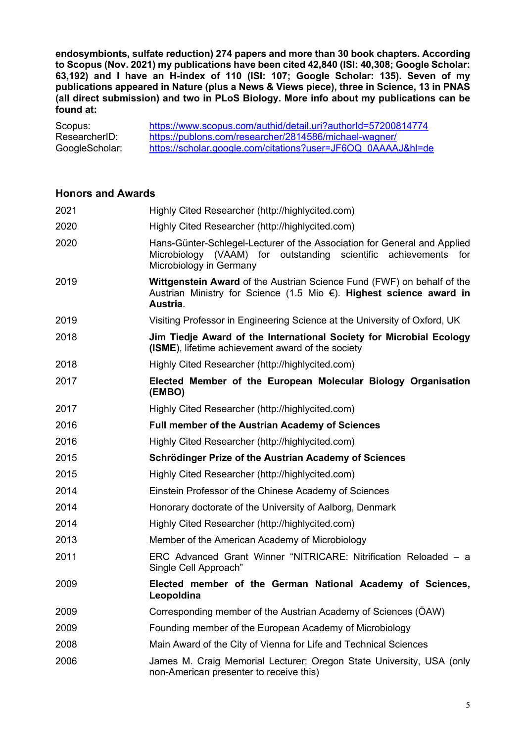**endosymbionts, sulfate reduction) 274 papers and more than 30 book chapters. According to Scopus (Nov. 2021) my publications have been cited 42,840 (ISI: 40,308; Google Scholar: 63,192) and I have an H-index of 110 (ISI: 107; Google Scholar: 135). Seven of my publications appeared in Nature (plus a News & Views piece), three in Science, 13 in PNAS (all direct submission) and two in PLoS Biology. More info about my publications can be found at:**

| Scopus:        | https://www.scopus.com/authid/detail.uri?authorId=57200814774 |
|----------------|---------------------------------------------------------------|
| ResearcherID:  | https://publons.com/researcher/2814586/michael-wagner/        |
| GoogleScholar: | https://scholar.google.com/citations?user=JF6OQ_0AAAAJ&hl=de  |

#### **Honors and Awards**

| 2021 | Highly Cited Researcher (http://highlycited.com)                                                                                                                           |
|------|----------------------------------------------------------------------------------------------------------------------------------------------------------------------------|
| 2020 | Highly Cited Researcher (http://highlycited.com)                                                                                                                           |
| 2020 | Hans-Günter-Schlegel-Lecturer of the Association for General and Applied<br>Microbiology (VAAM) for outstanding scientific<br>achievements for<br>Microbiology in Germany  |
| 2019 | <b>Wittgenstein Award of the Austrian Science Fund (FWF) on behalf of the</b><br>Austrian Ministry for Science (1.5 Mio $\epsilon$ ). Highest science award in<br>Austria. |
| 2019 | Visiting Professor in Engineering Science at the University of Oxford, UK                                                                                                  |
| 2018 | Jim Tiedje Award of the International Society for Microbial Ecology<br>(ISME), lifetime achievement award of the society                                                   |
| 2018 | Highly Cited Researcher (http://highlycited.com)                                                                                                                           |
| 2017 | Elected Member of the European Molecular Biology Organisation<br>(EMBO)                                                                                                    |
| 2017 | Highly Cited Researcher (http://highlycited.com)                                                                                                                           |
| 2016 | <b>Full member of the Austrian Academy of Sciences</b>                                                                                                                     |
| 2016 | Highly Cited Researcher (http://highlycited.com)                                                                                                                           |
| 2015 | Schrödinger Prize of the Austrian Academy of Sciences                                                                                                                      |
| 2015 | Highly Cited Researcher (http://highlycited.com)                                                                                                                           |
| 2014 | Einstein Professor of the Chinese Academy of Sciences                                                                                                                      |
| 2014 | Honorary doctorate of the University of Aalborg, Denmark                                                                                                                   |
| 2014 | Highly Cited Researcher (http://highlycited.com)                                                                                                                           |
| 2013 | Member of the American Academy of Microbiology                                                                                                                             |
| 2011 | ERC Advanced Grant Winner "NITRICARE: Nitrification Reloaded - a<br>Single Cell Approach"                                                                                  |
| 2009 | Elected member of the German National Academy of Sciences,<br>Leopoldina                                                                                                   |
| 2009 | Corresponding member of the Austrian Academy of Sciences (ÖAW)                                                                                                             |
| 2009 | Founding member of the European Academy of Microbiology                                                                                                                    |
| 2008 | Main Award of the City of Vienna for Life and Technical Sciences                                                                                                           |
| 2006 | James M. Craig Memorial Lecturer; Oregon State University, USA (only<br>non-American presenter to receive this)                                                            |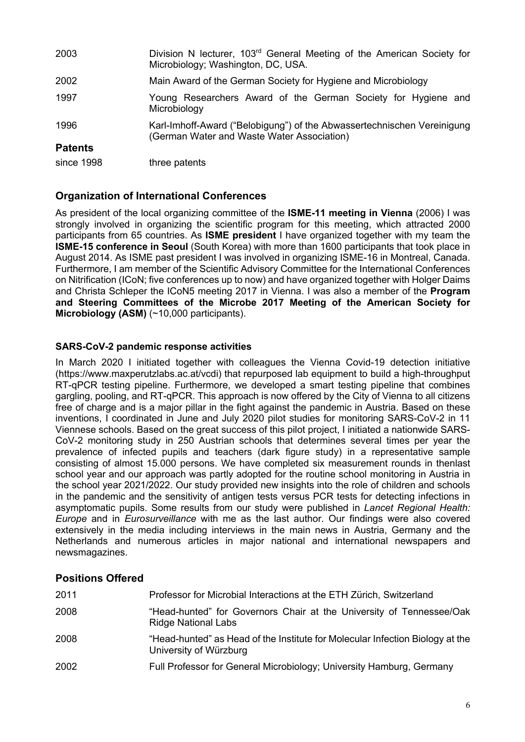| 2003           | Division N lecturer, 103 <sup>rd</sup> General Meeting of the American Society for<br>Microbiology; Washington, DC, USA. |
|----------------|--------------------------------------------------------------------------------------------------------------------------|
| 2002           | Main Award of the German Society for Hygiene and Microbiology                                                            |
| 1997           | Young Researchers Award of the German Society for Hygiene and<br>Microbiology                                            |
| 1996           | Karl-Imhoff-Award ("Belobigung") of the Abwassertechnischen Vereinigung<br>(German Water and Waste Water Association)    |
| <b>Patents</b> |                                                                                                                          |
| since 1998     | three patents                                                                                                            |

## **Organization of International Conferences**

As president of the local organizing committee of the **ISME-11 meeting in Vienna** (2006) I was strongly involved in organizing the scientific program for this meeting, which attracted 2000 participants from 65 countries. As **ISME president** I have organized together with my team the **ISME-15 conference in Seoul** (South Korea) with more than 1600 participants that took place in August 2014. As ISME past president I was involved in organizing ISME-16 in Montreal, Canada. Furthermore, I am member of the Scientific Advisory Committee for the International Conferences on Nitrification (ICoN; five conferences up to now) and have organized together with Holger Daims and Christa Schleper the ICoN5 meeting 2017 in Vienna. I was also a member of the **Program and Steering Committees of the Microbe 2017 Meeting of the American Society for Microbiology (ASM)** (~10,000 participants).

#### **SARS-CoV-2 pandemic response activities**

In March 2020 I initiated together with colleagues the Vienna Covid-19 detection initiative (https://www.maxperutzlabs.ac.at/vcdi) that repurposed lab equipment to build a high-throughput RT-qPCR testing pipeline. Furthermore, we developed a smart testing pipeline that combines gargling, pooling, and RT-qPCR. This approach is now offered by the City of Vienna to all citizens free of charge and is a major pillar in the fight against the pandemic in Austria. Based on these inventions, I coordinated in June and July 2020 pilot studies for monitoring SARS-CoV-2 in 11 Viennese schools. Based on the great success of this pilot project, I initiated a nationwide SARS-CoV-2 monitoring study in 250 Austrian schools that determines several times per year the prevalence of infected pupils and teachers (dark figure study) in a representative sample consisting of almost 15.000 persons. We have completed six measurement rounds in thenlast school year and our approach was partly adopted for the routine school monitoring in Austria in the school year 2021/2022. Our study provided new insights into the role of children and schools in the pandemic and the sensitivity of antigen tests versus PCR tests for detecting infections in asymptomatic pupils. Some results from our study were published in *Lancet Regional Health: Europe* and in *Eurosurveillance* with me as the last author. Our findings were also covered extensively in the media including interviews in the main news in Austria, Germany and the Netherlands and numerous articles in major national and international newspapers and newsmagazines.

## **Positions Offered**

| 2011 | Professor for Microbial Interactions at the ETH Zürich, Switzerland                                     |
|------|---------------------------------------------------------------------------------------------------------|
| 2008 | "Head-hunted" for Governors Chair at the University of Tennessee/Oak<br>Ridge National Labs             |
| 2008 | "Head-hunted" as Head of the Institute for Molecular Infection Biology at the<br>University of Würzburg |
| 2002 | Full Professor for General Microbiology; University Hamburg, Germany                                    |